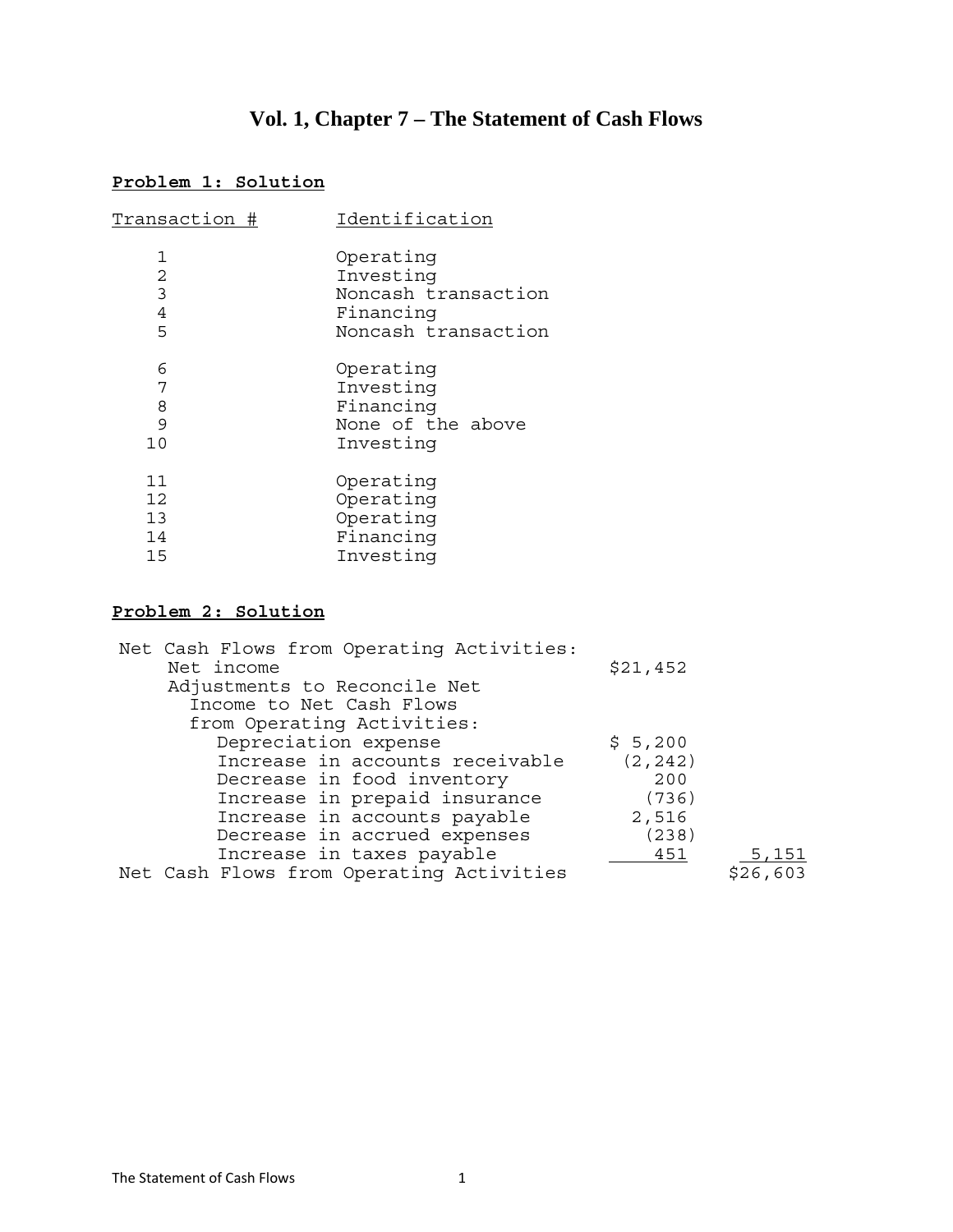# **Vol. 1, Chapter 7 – The Statement of Cash Flows**

# **Problem 1: Solution**

| Transaction #  | Identification      |
|----------------|---------------------|
| 1              | Operating           |
| $\overline{2}$ | Investing           |
| 3              | Noncash transaction |
| $\overline{4}$ | Financing           |
| 5              | Noncash transaction |
| 6              | Operating           |
| 7              | Investing           |
| 8              | Financing           |
| 9              | None of the above   |
| 10             | Investing           |
| 11             | Operating           |
| 12             | Operating           |
| 13             | Operating           |
| 14             | Financing           |
| 15             | Investing           |

# **Problem 2: Solution**

| Net Cash Flows from Operating Activities: |          |          |
|-------------------------------------------|----------|----------|
| Net income                                | \$21,452 |          |
| Adjustments to Reconcile Net              |          |          |
| Income to Net Cash Flows                  |          |          |
| from Operating Activities:                |          |          |
| Depreciation expense                      | \$5,200  |          |
| Increase in accounts receivable           | (2, 242) |          |
| Decrease in food inventory                | 200      |          |
| Increase in prepaid insurance             | (736)    |          |
| Increase in accounts payable              | 2,516    |          |
| Decrease in accrued expenses              | (238)    |          |
| Increase in taxes payable                 | 451      | 5,151    |
| Net Cash Flows from Operating Activities  |          | \$26,603 |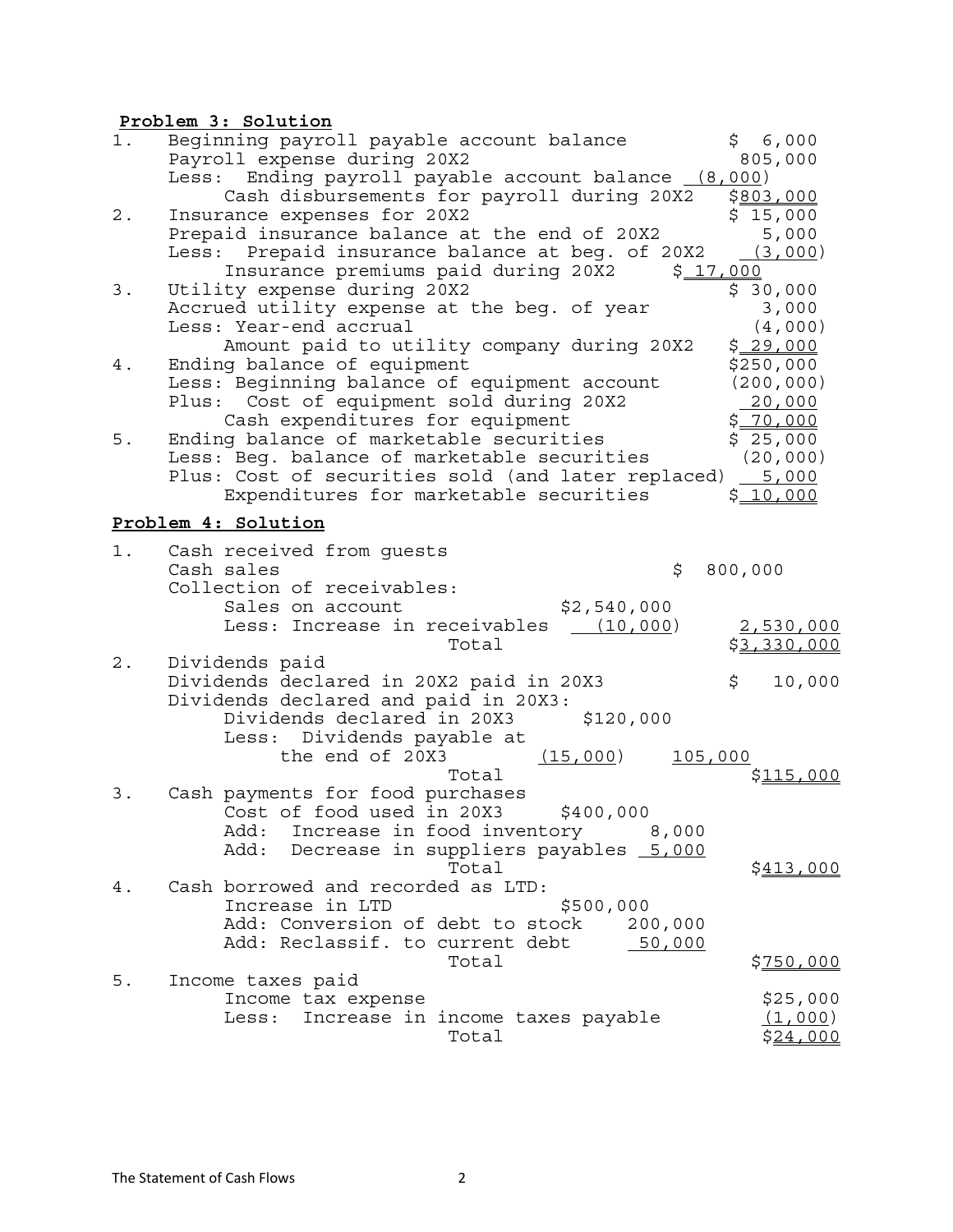### **Problem 3: Solution**

| 1.    | Beginning payroll payable account balance                       | \$6,000             |
|-------|-----------------------------------------------------------------|---------------------|
|       | Payroll expense during 20X2                                     | 805,000             |
|       | Ending payroll payable account balance (8,000)<br>Less:         |                     |
|       | Cash disbursements for payroll during 20X2                      | \$803,000           |
| $2$ . | Insurance expenses for 20X2                                     | \$15,000            |
|       | Prepaid insurance balance at the end of 20X2                    | 5,000               |
|       | Prepaid insurance balance at beg. of 20X2<br>Less:              | (3,000)             |
|       | Insurance premiums paid during 20X2<br>\$17,000                 |                     |
| 3.    | Utility expense during 20X2                                     | \$30,000            |
|       | Accrued utility expense at the beg. of year                     | 3,000               |
|       | Less: Year-end accrual                                          | (4,000)             |
|       | Amount paid to utility company during 20X2                      | <u>\$29,000</u>     |
| 4.    | Ending balance of equipment                                     | \$250,000           |
|       | Less: Beginning balance of equipment account                    | (200, 000)          |
|       | Cost of equipment sold during 20X2<br>Plus:                     | 20,000              |
|       | Cash expenditures for equipment                                 | \$70,000            |
| 5.    | Ending balance of marketable securities                         | \$25,000            |
|       | Less: Beg. balance of marketable securities                     | (20, 000)           |
|       | Plus: Cost of securities sold (and later replaced) 5,000        |                     |
|       | Expenditures for marketable securities                          | <u>\$10,000</u>     |
|       | Problem 4: Solution                                             |                     |
| 1.    |                                                                 |                     |
|       | Cash received from guests<br>Cash sales<br>\$                   | 800,000             |
|       | Collection of receivables:                                      |                     |
|       | \$2,540,000<br>Sales on account                                 |                     |
|       | Less: Increase in receivables<br>(10,000)                       | <u>2,530,000</u>    |
|       | Total                                                           | <u>\$3,330,000</u>  |
| $2$ . | Dividends paid                                                  |                     |
|       | Dividends declared in 20X2 paid in 20X3                         | \$<br>10,000        |
|       | Dividends declared and paid in 20X3:                            |                     |
|       | Dividends declared in 20X3<br>\$120,000                         |                     |
|       | Dividends payable at<br>Less:                                   |                     |
|       | the end of 20X3<br>(15,000)<br>105,000                          |                     |
|       | Total                                                           | \$115,000           |
| 3.    | Cash payments for food purchases                                |                     |
|       | Cost of food used in 20X3<br>\$400,000                          |                     |
|       | Add:<br>Increase in food inventory<br>8,000                     |                     |
|       | Add:<br>Decrease in suppliers payables 5,000                    |                     |
|       | Total                                                           | <u>\$413,000</u>    |
| 4.    | Cash borrowed and recorded as LTD:                              |                     |
|       | Increase in LTD<br>\$500,000                                    |                     |
|       | Add: Conversion of debt to stock 200,000                        |                     |
|       | Add: Reclassif. to current debt<br>50,000                       |                     |
|       |                                                                 |                     |
|       |                                                                 |                     |
|       | Total                                                           | <u>\$750,000</u>    |
| $5$ . | Income taxes paid                                               |                     |
|       | Income tax expense<br>Increase in income taxes payable<br>Less: | \$25,000<br>(1,000) |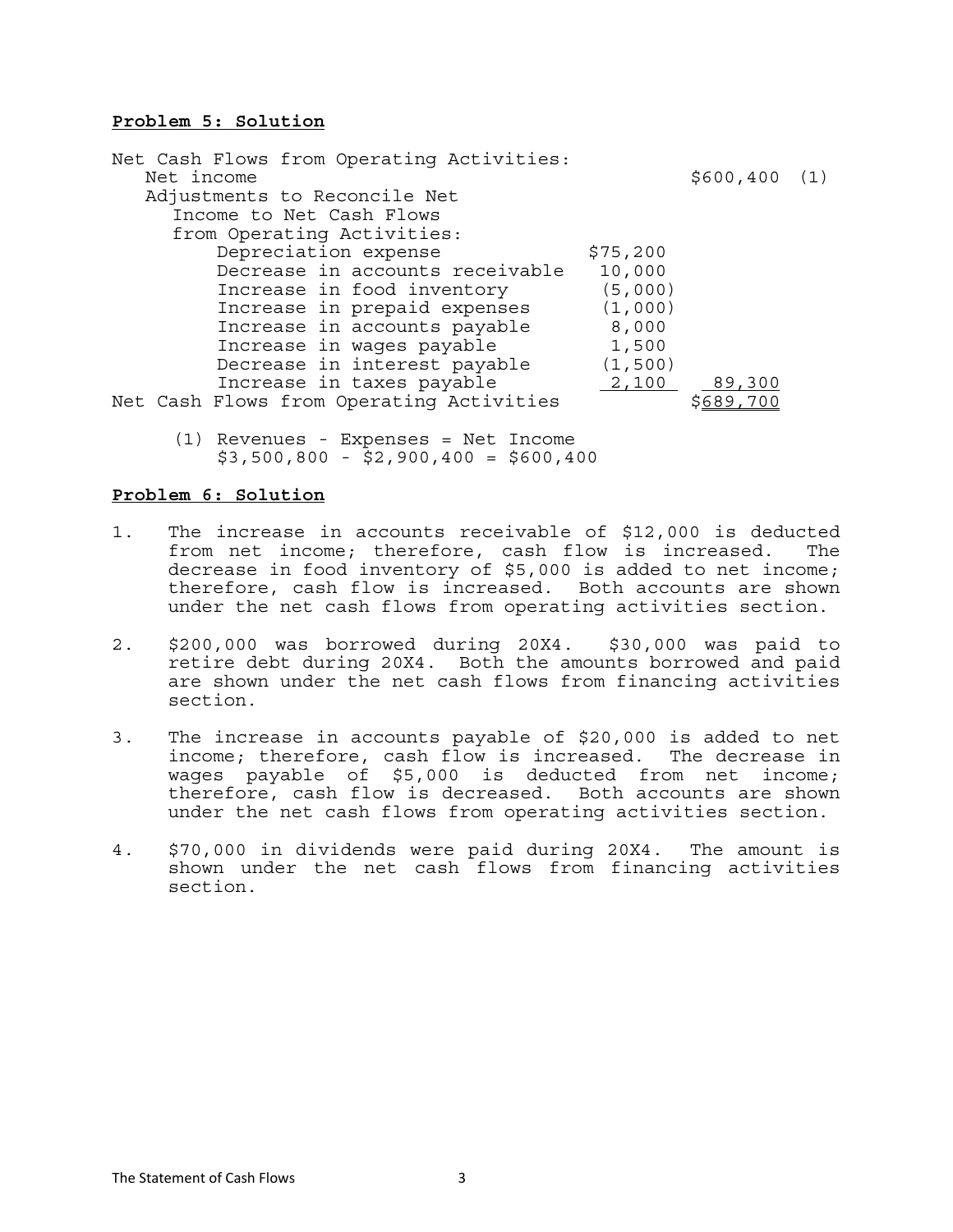#### **Problem 5: Solution**

Net Cash Flows from Operating Activities:  $Net$  income  $$600,400$  (1) Adjustments to Reconcile Net Income to Net Cash Flows from Operating Activities: Depreciation expense  $$75,200$  Decrease in accounts receivable 10,000 Increase in food inventory (5,000) Increase in prepaid expenses (1,000)<br>Increase in accounts payable 8.000 Increase in accounts payable Increase in wages payable 1,500 Decrease in interest payable (1,500) Increase in taxes payable  $\frac{2,100}{5689,700}$  Net Cash Flows from Operating Activities

 (1) Revenues - Expenses = Net Income  $$3,500,800 - $2,900,400 = $600,400$ 

#### **Problem 6: Solution**

- 1. The increase in accounts receivable of \$12,000 is deducted from net income; therefore, cash flow is increased. The decrease in food inventory of \$5,000 is added to net income; therefore, cash flow is increased. Both accounts are shown under the net cash flows from operating activities section.
- 2. \$200,000 was borrowed during 20X4. \$30,000 was paid to retire debt during 20X4. Both the amounts borrowed and paid are shown under the net cash flows from financing activities section.
- 3. The increase in accounts payable of \$20,000 is added to net income; therefore, cash flow is increased. The decrease in wages payable of \$5,000 is deducted from net income; therefore, cash flow is decreased. Both accounts are shown under the net cash flows from operating activities section.
- 4. \$70,000 in dividends were paid during 20X4. The amount is shown under the net cash flows from financing activities section.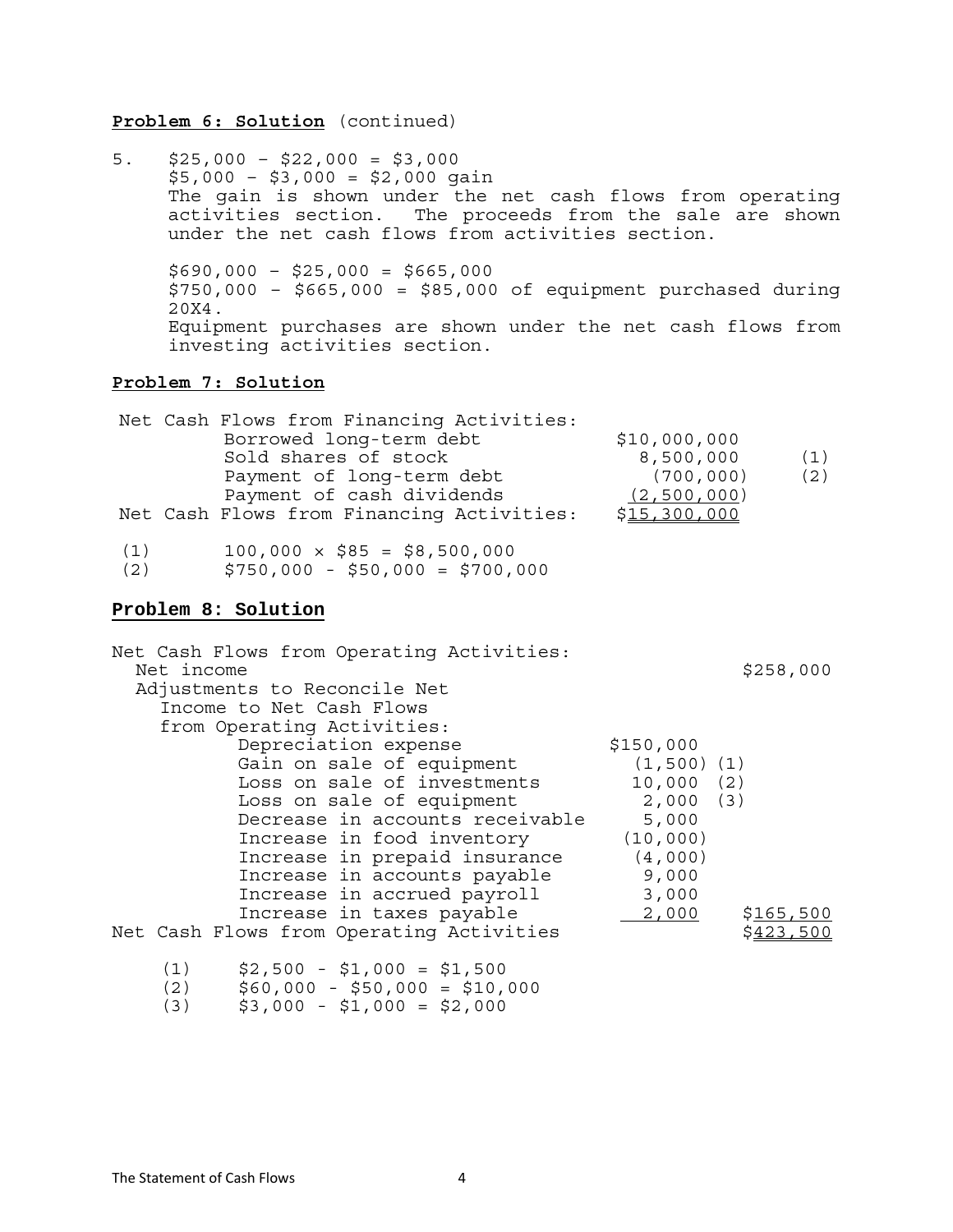#### **Problem 6: Solution** (continued)

5. \$25,000 – \$22,000 = \$3,000  $$5,000 - $3,000 = $2,000$  gain The gain is shown under the net cash flows from operating activities section. The proceeds from the sale are shown under the net cash flows from activities section.  $$690,000 - $25,000 = $665,000$  \$750,000 – \$665,000 = \$85,000 of equipment purchased during 20X4. Equipment purchases are shown under the net cash flows from investing activities section.

#### **Problem 7: Solution**

|     | Net Cash Flows from Financing Activities: |              |     |
|-----|-------------------------------------------|--------------|-----|
|     | Borrowed long-term debt                   | \$10,000,000 |     |
|     | Sold shares of stock                      | 8,500,000    | (1) |
|     | Payment of long-term debt                 | (700, 000)   | (2) |
|     | Payment of cash dividends                 | (2,500,000)  |     |
|     | Net Cash Flows from Financing Activities: | \$15,300,000 |     |
| (1) | $100,000 \times $85 = $8,500,000$         |              |     |
| (2) | $5750$ 000 - 550 000 - 5700 000           |              |     |

 $(2)$  \$750,000 - \$50,000 = \$700,000

#### **Problem 8: Solution**

| Net Cash Flows from Operating Activities: |                  |           |
|-------------------------------------------|------------------|-----------|
| Net income                                |                  | \$258,000 |
| Adjustments to Reconcile Net              |                  |           |
| Income to Net Cash Flows                  |                  |           |
| from Operating Activities:                |                  |           |
| Depreciation expense                      | \$150,000        |           |
| Gain on sale of equipment                 | $(1, 500)$ $(1)$ |           |
| Loss on sale of investments               | 10,000(2)        |           |
| Loss on sale of equipment                 | 2,000(3)         |           |
| Decrease in accounts receivable           | 5,000            |           |
| Increase in food inventory                | (10,000)         |           |
| Increase in prepaid insurance             | (4,000)          |           |
| Increase in accounts payable              | 9,000            |           |
| Increase in accrued payroll               | 3,000            |           |
| Increase in taxes payable                 | 2,000            | \$165,500 |
| Net Cash Flows from Operating Activities  |                  |           |

- (1) \$2,500 \$1,000 = \$1,500
- (2) \$60,000 \$50,000 = \$10,000
	- $(3)$   $$3,000 $1,000 = $2,000$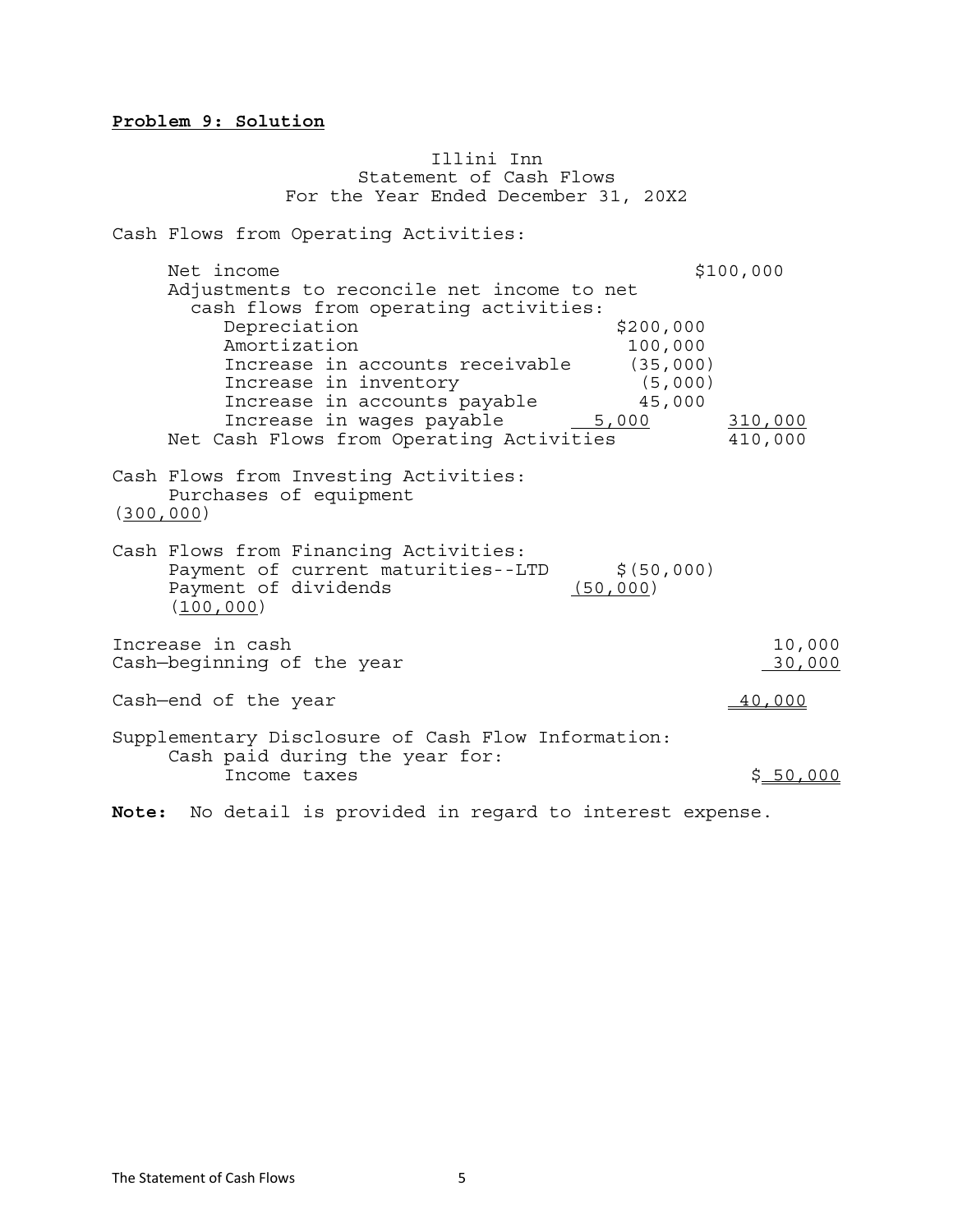#### **Problem 9: Solution**

 Illini Inn Statement of Cash Flows For the Year Ended December 31, 20X2 Cash Flows from Operating Activities: Net income \$100,000 Adjustments to reconcile net income to net cash flows from operating activities: Depreciation \$200,000 Amortization 100,000 Increase in accounts receivable (35,000) Increase in inventory (5,000)<br>Increase in accounts payable 45,000 Increase in accounts payable Increase in accounts payable and the sum of the state of the state of the state of the state of the state of t<br>Net Cash Flows from Operating Activities 410,000 Cash Flows from Investing Activities: Purchases of equipment (300,000) Cash Flows from Financing Activities: Payment of current maturities--LTD \$(50,000)<br>Payment of dividends (50,000) Payment of dividends (100,000) Increase in cash 10,000<br>Cash—beqinning of the year the series of the series of the series of the series of the series of the series of Cash-beginning of the year  $\text{Cash—end of the year}$  40,000 Supplementary Disclosure of Cash Flow Information: Cash paid during the year for: Income taxes  $\zeta = 50,000$ 

**Note:** No detail is provided in regard to interest expense.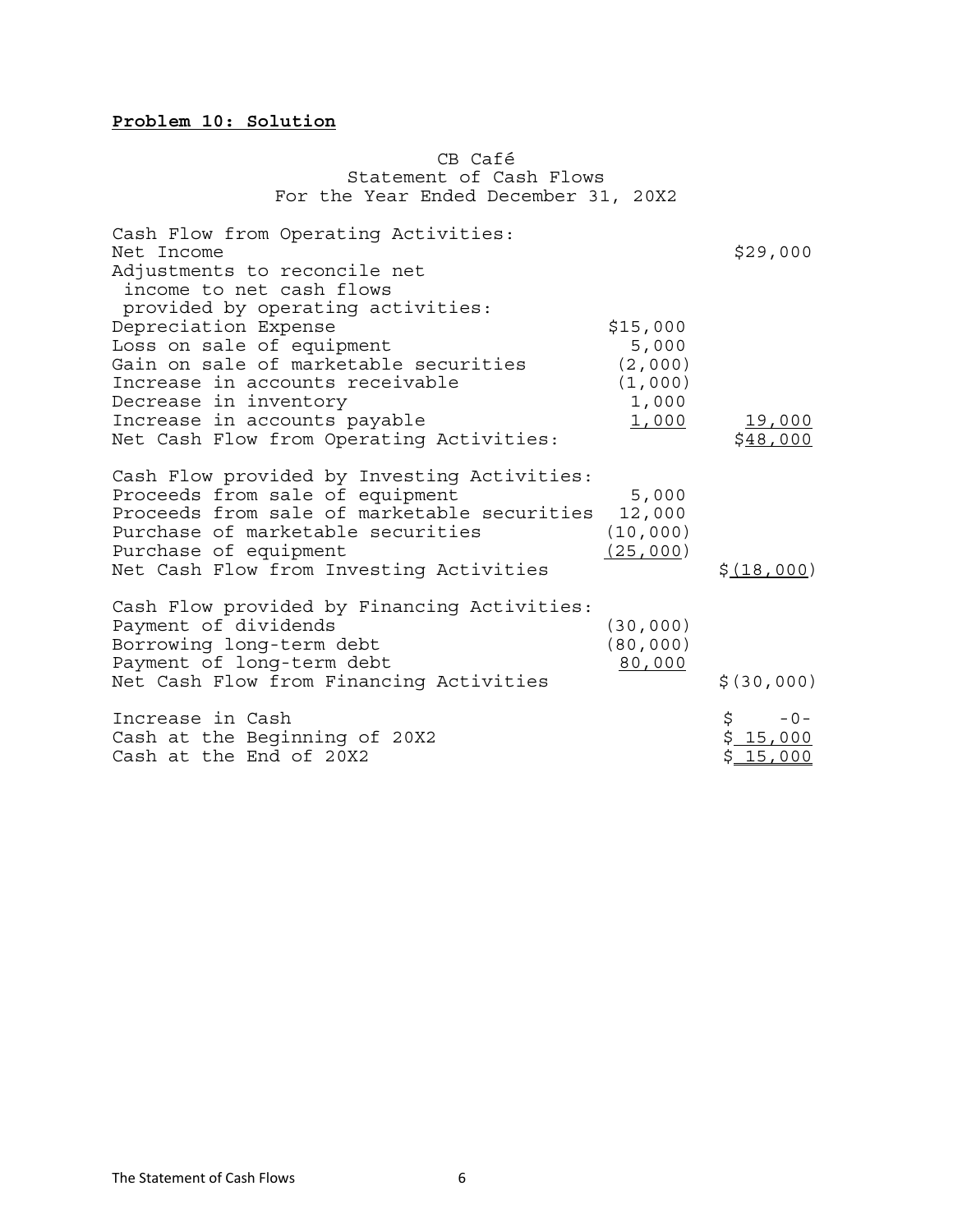# **Problem 10: Solution**

#### CB Café Statement of Cash Flows For the Year Ended December 31, 20X2

| Cash Flow from Operating Activities:<br>Net Income<br>Adjustments to reconcile net<br>income to net cash flows                                                                                                                                                          |                                                           | \$29,000                            |
|-------------------------------------------------------------------------------------------------------------------------------------------------------------------------------------------------------------------------------------------------------------------------|-----------------------------------------------------------|-------------------------------------|
| provided by operating activities:<br>Depreciation Expense<br>Loss on sale of equipment<br>Gain on sale of marketable securities<br>Increase in accounts receivable<br>Decrease in inventory<br>Increase in accounts payable<br>Net Cash Flow from Operating Activities: | \$15,000<br>5,000<br>(2,000)<br>(1,000)<br>1,000<br>1,000 | 19,000<br>\$48,000                  |
| Cash Flow provided by Investing Activities:<br>Proceeds from sale of equipment<br>Proceeds from sale of marketable securities<br>Purchase of marketable securities<br>Purchase of equipment<br>Net Cash Flow from Investing Activities                                  | 5,000<br>12,000<br>(10, 000)<br>(25,000)                  | \$ (18,000)                         |
| Cash Flow provided by Financing Activities:<br>Payment of dividends<br>Borrowing long-term debt<br>Payment of long-term debt<br>Net Cash Flow from Financing Activities                                                                                                 | (30,000)<br>(80, 000)<br>80,000                           | \$(30,000)                          |
| Increase in Cash<br>Cash at the Beginning of 20X2<br>Cash at the End of 20X2                                                                                                                                                                                            |                                                           | \$<br>$-0-$<br>\$15,000<br>\$15,000 |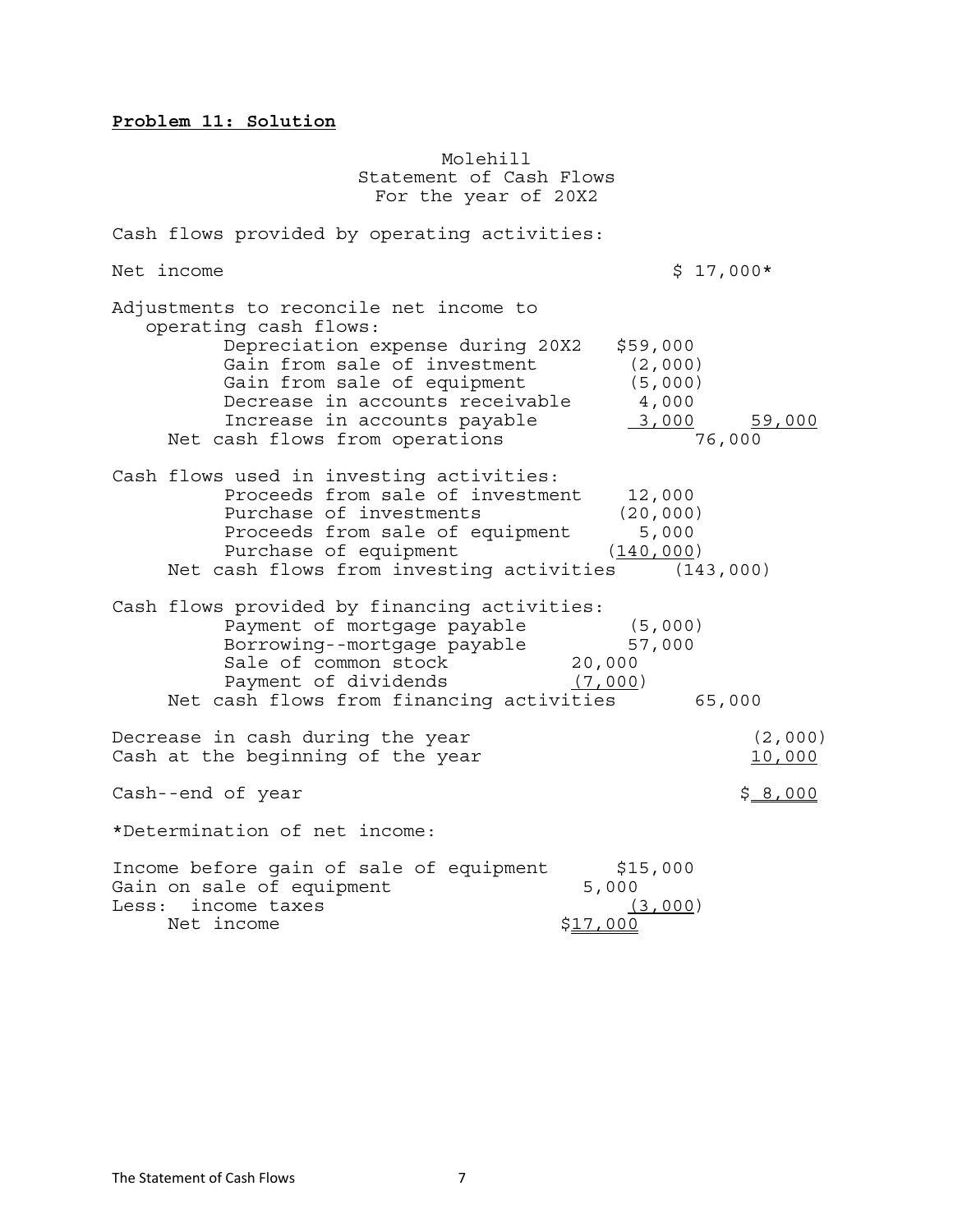# **Problem 11: Solution**

 Molehill Statement of Cash Flows For the year of 20X2

| Cash flows provided by operating activities:                                                                                                                                                                                                                            |                                                                             |
|-------------------------------------------------------------------------------------------------------------------------------------------------------------------------------------------------------------------------------------------------------------------------|-----------------------------------------------------------------------------|
| Net income                                                                                                                                                                                                                                                              | $$17,000*$                                                                  |
| Adjustments to reconcile net income to<br>operating cash flows:<br>Depreciation expense during 20X2<br>Gain from sale of investment<br>Gain from sale of equipment<br>Decrease in accounts receivable<br>Increase in accounts payable<br>Net cash flows from operations | \$59,000<br>(2,000)<br>(5,000)<br>4,000<br>3,000<br><u>59,000</u><br>76,000 |
| Cash flows used in investing activities:<br>Proceeds from sale of investment<br>Purchase of investments<br>Proceeds from sale of equipment<br>Purchase of equipment<br>Net cash flows from investing activities (143,000)                                               | 12,000<br>(20, 000)<br>5,000<br>(140, 000)                                  |
| Cash flows provided by financing activities:<br>Payment of mortgage payable<br>Borrowing--mortgage payable<br>Sale of common stock<br>Payment of dividends<br>Net cash flows from financing activities                                                                  | (5,000)<br>57,000<br>20,000<br>(7,000)<br>65,000                            |
| Decrease in cash during the year<br>Cash at the beginning of the year                                                                                                                                                                                                   | (2,000)<br>10,000                                                           |
| Cash--end of year                                                                                                                                                                                                                                                       | \$8,000                                                                     |
| *Determination of net income:                                                                                                                                                                                                                                           |                                                                             |
| Income before gain of sale of equipment<br>Gain on sale of equipment<br>Less: income taxes<br>Net income                                                                                                                                                                | \$15,000<br>5,000<br>(3,000)<br><u>\$17,000</u>                             |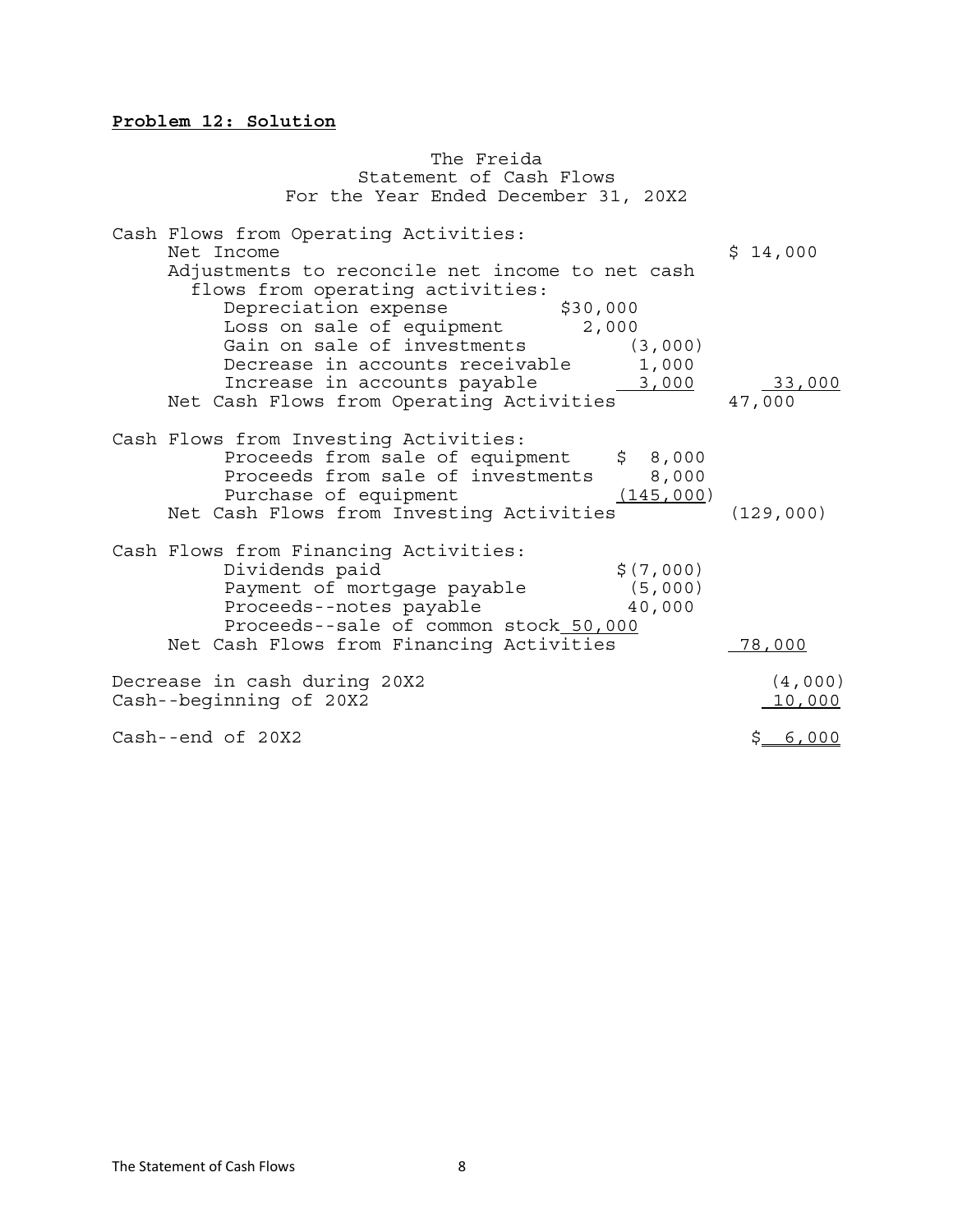#### **Problem 12: Solution**

 The Freida Statement of Cash Flows For the Year Ended December 31, 20X2 Cash Flows from Operating Activities: Net Income  $\zeta$  14,000 Adjustments to reconcile net income to net cash flows from operating activities: Depreciation expense \$30,000 Loss on sale of equipment 2,000 Gain on sale of investments (3,000) Gain on sale of investments (3,000)<br>Decrease in accounts receivable 1,000<br>Increase in accounts payable <u>3,000</u> Increase in accounts payable 19,000 33,000<br>Net Cash Flows from Operating Activities 47,000 Cash Flows from Investing Activities: Proceeds from sale of equipment \$ 8,000 Proceeds from sale of investments 8,000 Purchase of equipment (145,000) Net Cash Flows from Investing Activities (129,000) Cash Flows from Financing Activities: Dividends paid  $\zeta(7,000)$ Payment of mortgage payable (5,000)<br>Proceeds--notes payable (40,000 Proceeds--notes payable 40,000 Proceeds--sale of common stock 50,000 Net Cash Flows from Financing Activities 78,000 Decrease in cash during 20X2 (4,000) Cash--beginning of 20X2 10,000 Cash--end of 20X2  $\zeta = \zeta_0 \zeta_1 + \zeta_2 \zeta_3$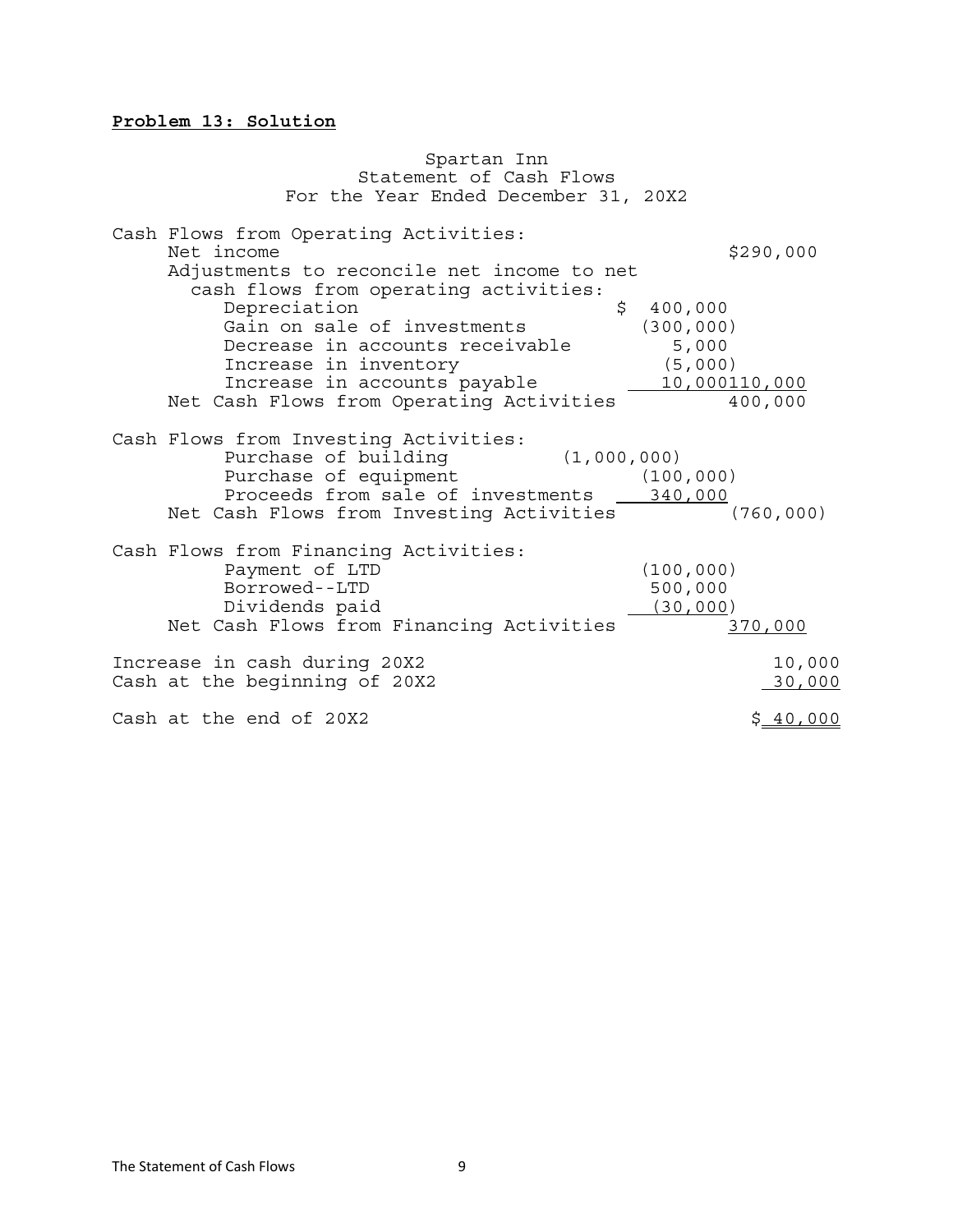#### **Problem 13: Solution**

 Spartan Inn Statement of Cash Flows For the Year Ended December 31, 20X2 Cash Flows from Operating Activities: Net income \$290,000 Adjustments to reconcile net income to net cash flows from operating activities: Depreciation  $\frac{1}{2}$  400,000<br>Gain on sale of investments (300,000) Gain on sale of investments Decrease in accounts receivable 5,000 Increase in inventory (5,000)<br>Increase in accounts payable 10,000110,000 Net Cash Flows from Operating Activities 10,000110,000 Cash Flows from Investing Activities: Purchase of building (1,000,000)<br>Purchase of equipment (100 Purchase of equipment (100,000) Proceeds from sale of investments 340,000 Net Cash Flows from Investing Activities (760,000) Cash Flows from Financing Activities: Payment of LTD (100,000) Borrowed--LTD 500,000<br>Dividends paid 600,000 (30,000) Dividends paid Net Cash Flows from Financing Activities 370,000 Increase in cash during 20X2 10,000 Cash at the beginning of 20X2 30,000 Cash at the end of  $20X2$   $$40,000$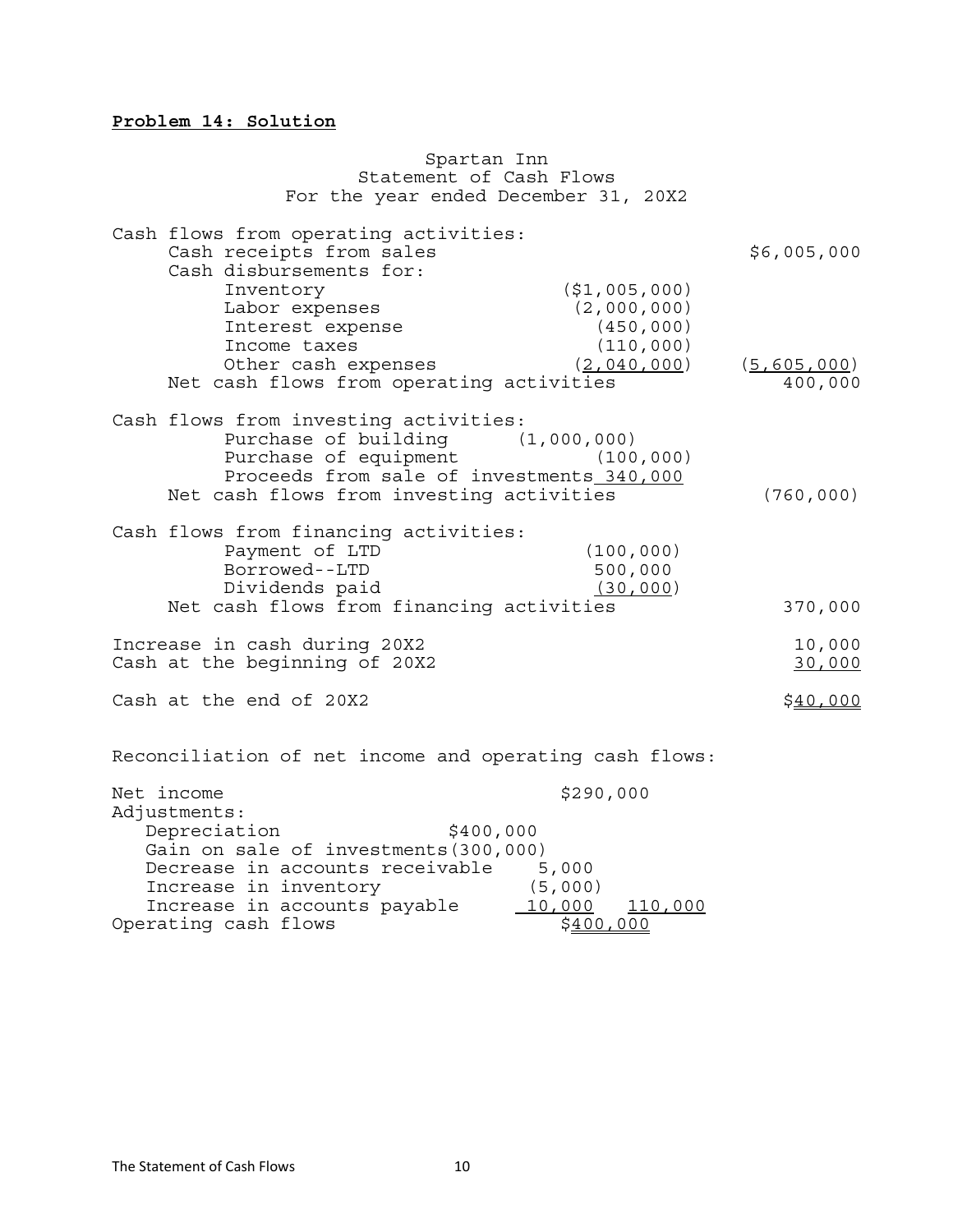# **Problem 14: Solution**

|                            | Spartan Inn                                                                                                                                                                                 |                                                                   |                          |
|----------------------------|---------------------------------------------------------------------------------------------------------------------------------------------------------------------------------------------|-------------------------------------------------------------------|--------------------------|
|                            | Statement of Cash Flows                                                                                                                                                                     |                                                                   |                          |
|                            | For the year ended December 31, 20X2                                                                                                                                                        |                                                                   |                          |
|                            | Cash flows from operating activities:<br>Cash receipts from sales<br>Cash disbursements for:<br>Inventory<br>Labor expenses                                                                 | (51,005,000)<br>(2,000,000)                                       | \$6,005,000              |
|                            | Interest expense<br>Income taxes<br>Other cash expenses<br>Net cash flows from operating activities                                                                                         | (450, 000)<br>(110, 000)<br>(2,040,000)                           | (5, 605, 000)<br>400,000 |
|                            | Cash flows from investing activities:<br>Purchase of building (1,000,000)<br>Purchase of equipment<br>Proceeds from sale of investments 340,000<br>Net cash flows from investing activities | (100, 000)                                                        | (760, 000)               |
|                            | Cash flows from financing activities:<br>Payment of LTD<br>Borrowed--LTD<br>Dividends paid<br>Net cash flows from financing activities                                                      | (100, 000)<br>500,000<br>(30, 000)                                | 370,000                  |
|                            | Increase in cash during 20X2<br>Cash at the beginning of 20X2                                                                                                                               |                                                                   | 10,000<br>30,000         |
|                            | Cash at the end of 20X2                                                                                                                                                                     |                                                                   | <u>\$40,000</u>          |
|                            | Reconciliation of net income and operating cash flows:                                                                                                                                      |                                                                   |                          |
| Net income<br>Adjustments: | \$400,000<br>Depreciation<br>Gain on sale of investments (300,000)<br>Decrease in accounts receivable<br>Increase in inventory<br>Increase in accounts payable                              | \$290,000<br>5,000<br>(5,000)<br><u> 10,000</u><br><u>110,000</u> |                          |
|                            | Operating cash flows                                                                                                                                                                        | \$400,000                                                         |                          |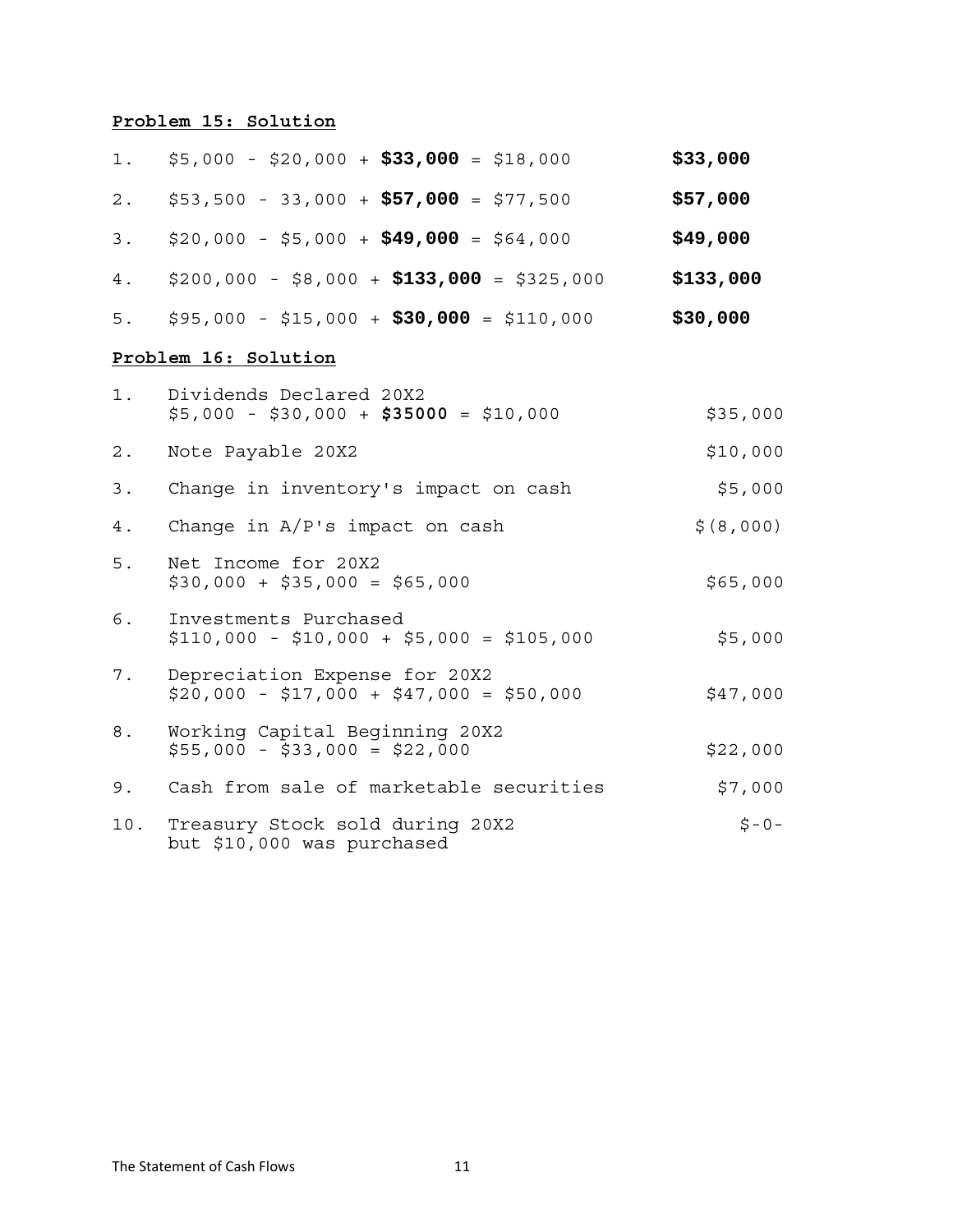# **Problem 15: Solution**

| 1.    | $$5,000 - $20,000 + $33,000 = $18,000$                                   | \$33,000   |
|-------|--------------------------------------------------------------------------|------------|
| 2.    | $$53,500 - 33,000 + $57,000 = $77,500$                                   | \$57,000   |
| 3.    | $$20,000 - $5,000 + $49,000 = $64,000$                                   | \$49,000   |
| 4.    | $$200,000 - $8,000 + $133,000 = $325,000$                                | \$133,000  |
| 5.    | $$95,000 - $15,000 + $30,000 = $110,000$                                 | \$30,000   |
|       | Problem 16: Solution                                                     |            |
| $1$ . | Dividends Declared 20X2<br>$$5,000 - $30,000 + $35000 = $10,000$         | \$35,000   |
| $2$ . | Note Payable 20X2                                                        | \$10,000   |
| 3.    | Change in inventory's impact on cash                                     | \$5,000    |
| 4.    | Change in $A/P$ 's impact on cash                                        | \$ (8,000) |
| 5.    | Net Income for 20X2<br>$$30,000 + $35,000 = $65,000$                     | \$65,000   |
| 6.    | Investments Purchased<br>$$110,000 - $10,000 + $5,000 = $105,000$        | \$5,000    |
| 7.    | Depreciation Expense for 20X2<br>$$20,000 - $17,000 + $47,000 = $50,000$ | \$47,000   |
| 8.    | Working Capital Beginning 20X2<br>$$55,000 - $33,000 = $22,000$          | \$22,000   |
| 9.    | Cash from sale of marketable securities                                  | \$7,000    |
| 10.   | Treasury Stock sold during 20X2<br>but \$10,000 was purchased            | $5 - 0 -$  |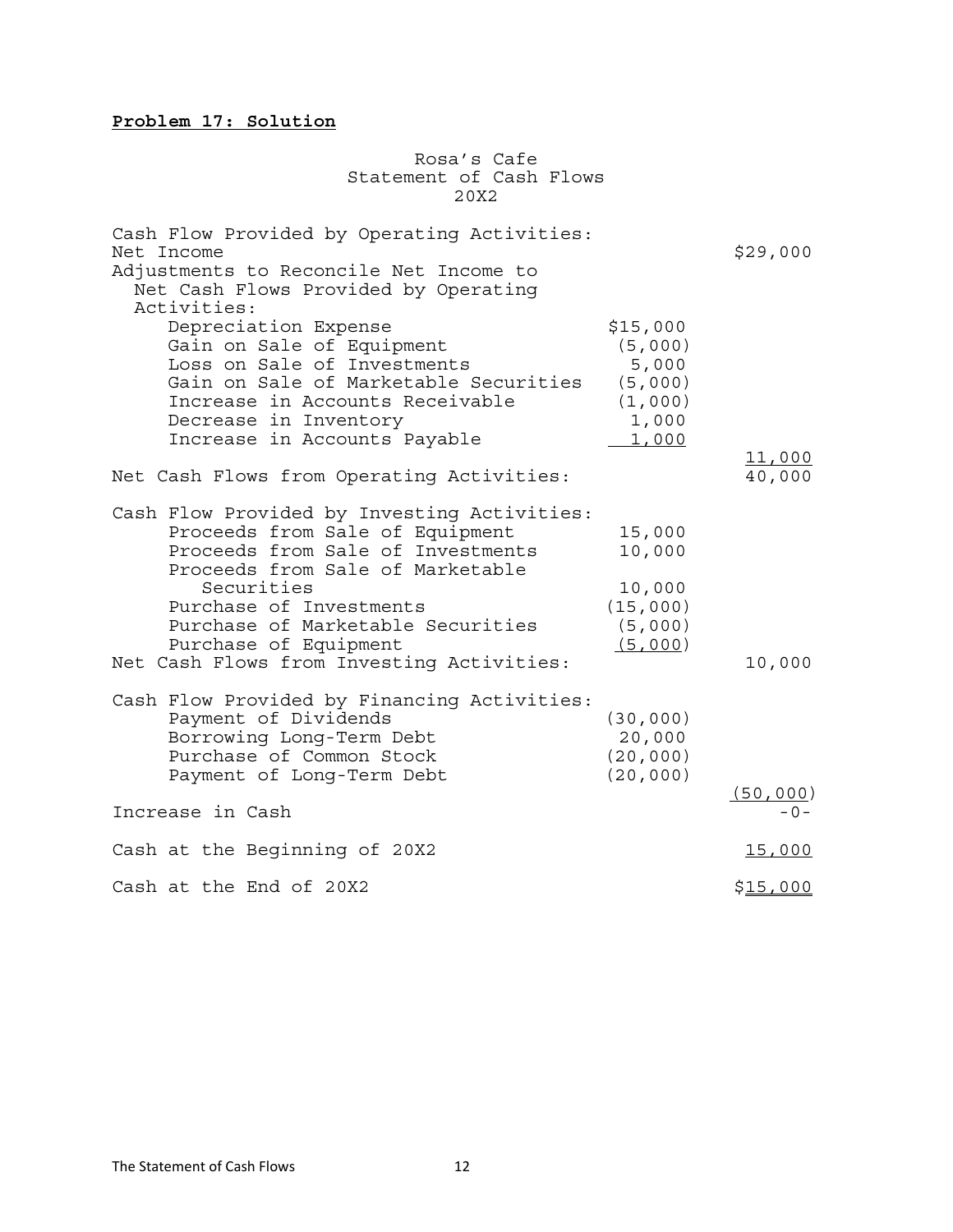# **Problem 17: Solution**

Rosa's Cafe Statement of Cash Flows 20X2

| Cash Flow Provided by Operating Activities:<br>Net Income<br>Adjustments to Reconcile Net Income to<br>Net Cash Flows Provided by Operating<br>Activities:                                                                                                                                                  |                                                                      | \$29,000  |
|-------------------------------------------------------------------------------------------------------------------------------------------------------------------------------------------------------------------------------------------------------------------------------------------------------------|----------------------------------------------------------------------|-----------|
| Depreciation Expense<br>Gain on Sale of Equipment<br>Loss on Sale of Investments<br>Gain on Sale of Marketable Securities<br>Increase in Accounts Receivable<br>Decrease in Inventory<br>Increase in Accounts Payable                                                                                       | \$15,000<br>(5,000)<br>5,000<br>(5,000)<br>(1,000)<br>1,000<br>1,000 | 11,000    |
| Net Cash Flows from Operating Activities:                                                                                                                                                                                                                                                                   |                                                                      | 40,000    |
| Cash Flow Provided by Investing Activities:<br>Proceeds from Sale of Equipment<br>Proceeds from Sale of Investments<br>Proceeds from Sale of Marketable<br>Securities<br>Purchase of Investments<br>Purchase of Marketable Securities<br>Purchase of Equipment<br>Net Cash Flows from Investing Activities: | 15,000<br>10,000<br>10,000<br>(15,000)<br>(5,000)<br>(5,000)         | 10,000    |
| Cash Flow Provided by Financing Activities:<br>Payment of Dividends<br>Borrowing Long-Term Debt<br>Purchase of Common Stock<br>Payment of Long-Term Debt                                                                                                                                                    | (30, 000)<br>20,000<br>(20, 000)<br>(20, 000)                        | (50, 000) |
| Increase in Cash                                                                                                                                                                                                                                                                                            |                                                                      | – ೧ –     |
| Cash at the Beginning of 20X2                                                                                                                                                                                                                                                                               |                                                                      | 15,000    |
| Cash at the End of 20X2                                                                                                                                                                                                                                                                                     |                                                                      | \$15,000  |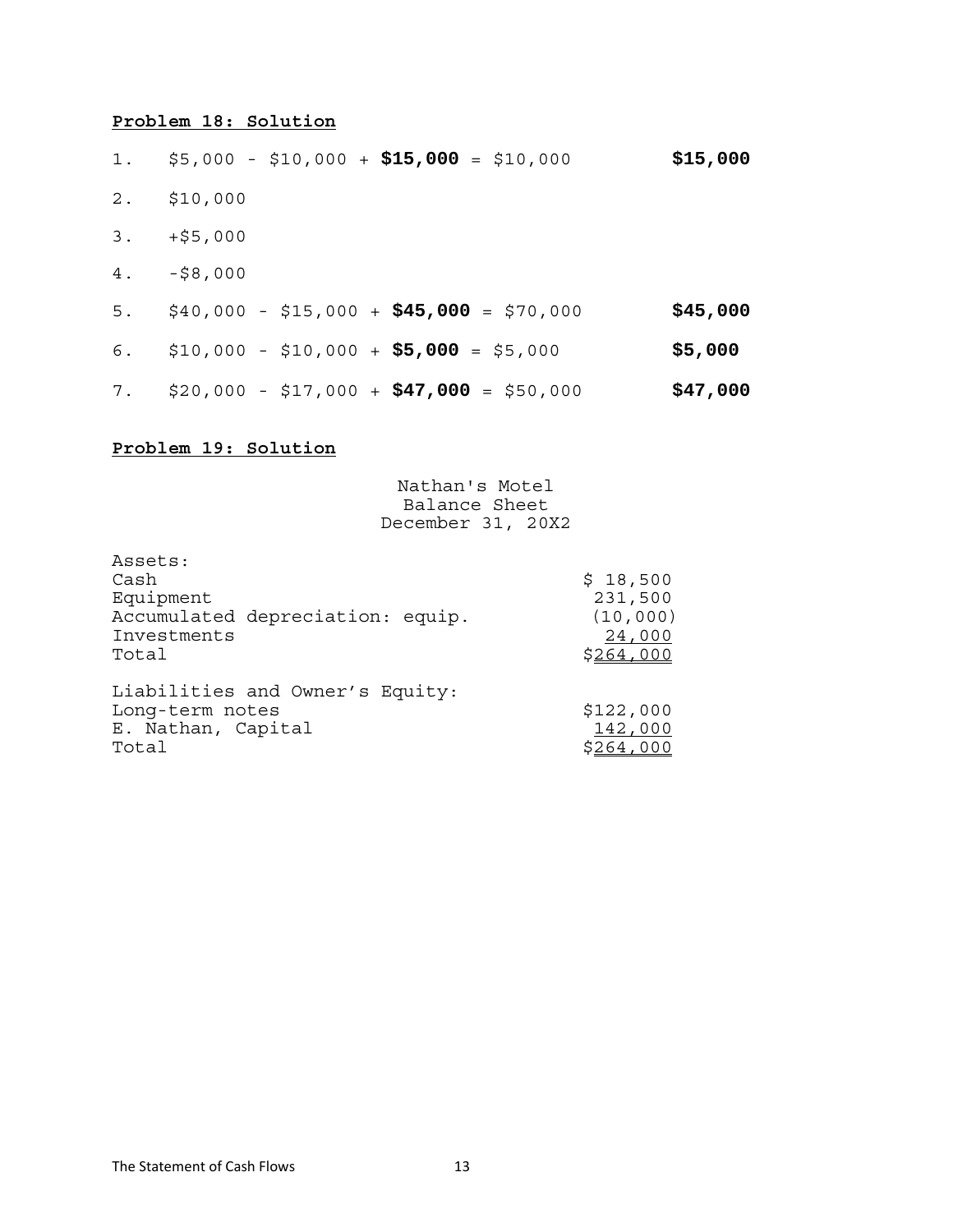## **Problem 18: Solution**

| 1.    | $$5,000 - $10,000 + $15,000 = $10,000$           | \$15,000 |
|-------|--------------------------------------------------|----------|
| $2$ . | \$10,000                                         |          |
| 3.    | +\$5,000                                         |          |
| $4$ . | -\$8,000                                         |          |
| 5.    | \$40,000 - \$15,000 + <b>\$45,000</b> = \$70,000 | \$45,000 |
| 6.    | $$10,000 - $10,000 + $5,000 = $5,000$            | \$5,000  |
| 7.    | \$20,000 - \$17,000 + <b>\$47,000</b> = \$50,000 | \$47,000 |

# **Problem 19: Solution**

Nathan's Motel Balance Sheet December 31, 20X2

| Assets:<br>Cash<br>Equipment<br>Accumulated depreciation: equip.<br>Investments<br>Total | \$18,500<br>231,500<br>(10,000)<br>24,000<br>\$264,000 |
|------------------------------------------------------------------------------------------|--------------------------------------------------------|
| Liabilities and Owner's Equity:<br>Long-term notes<br>E. Nathan, Capital<br>Total        | \$122,000<br>142,000<br>\$264,000                      |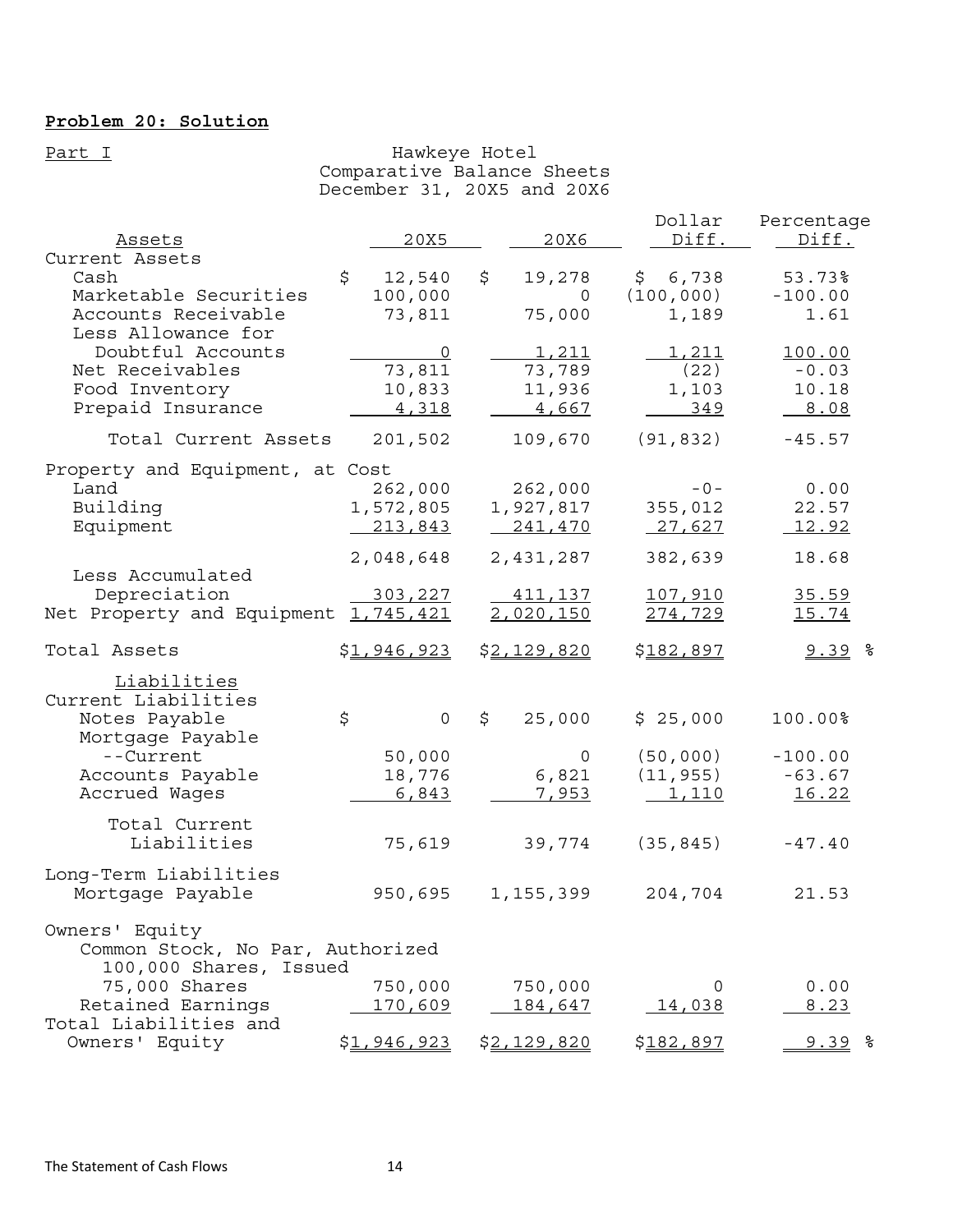# **Problem 20: Solution**

### Part I and Hawkeye Hotel Comparative Balance Sheets December 31, 20X5 and 20X6

| Assets                                             | 20X5                  | 20X6                 | Dollar<br>Diff.     | Percentage<br>Diff. |
|----------------------------------------------------|-----------------------|----------------------|---------------------|---------------------|
| Current Assets<br>Cash                             | \$<br>12,540          | \$<br>19,278         | \$6,738             | 53.73%              |
| Marketable Securities<br>Accounts Receivable       | 100,000<br>73,811     | 0<br>75,000          | (100, 000)<br>1,189 | $-100.00$<br>1.61   |
| Less Allowance for                                 |                       |                      |                     |                     |
| Doubtful Accounts<br>Net Receivables               | $\mathbf 0$<br>73,811 | 1,211<br>73,789      | 1,211<br>(22)       | 100.00<br>$-0.03$   |
| Food Inventory                                     | 10,833                | 11,936               | 1,103               | 10.18               |
| Prepaid Insurance                                  | 4,318                 | 4,667                | 349                 | 8.08                |
| Total Current Assets                               | 201,502               | 109,670              | (91, 832)           | $-45.57$            |
| Property and Equipment, at Cost                    |                       |                      |                     |                     |
| Land<br>Building                                   | 262,000<br>1,572,805  | 262,000<br>1,927,817 | $-0-$<br>355,012    | 0.00<br>22.57       |
| Equipment                                          | 213,843               | 241,470              | 27,627              | <u> 12.92</u>       |
|                                                    | 2,048,648             | 2,431,287            | 382,639             | 18.68               |
| Less Accumulated<br>Depreciation                   | 303,227               | <u>411,137</u>       | 107,910             | 35.59               |
| Net Property and Equipment 1,745,421               |                       | 2,020,150            | 274,729             | 15.74               |
| Total Assets                                       | \$1,946,923           | \$2,129,820          | \$182,897           | $9.39$ %            |
|                                                    |                       |                      |                     |                     |
| Liabilities                                        |                       |                      |                     |                     |
| Current Liabilities<br>Notes Payable               | \$<br>$\mathsf{O}$    | \$<br>25,000         | \$25,000            | 100.00%             |
| Mortgage Payable<br>--Current                      | 50,000                | 0                    | (50, 000)           | $-100.00$           |
| Accounts Payable                                   | 18,776                | 6,821                | (11, 955)           | $-63.67$            |
| Accrued Wages                                      | 6,843                 | <u>7,953</u>         | <u>1,110</u>        | <u>16.22</u>        |
| Total Current<br>Liabilities                       | 75,619                | 39,774               | (35, 845)           | $-47.40$            |
| Long-Term Liabilities<br>Mortgage Payable          | 950,695               | 1,155,399            | 204,704             | 21.53               |
| Owners' Equity<br>Common Stock, No Par, Authorized |                       |                      |                     |                     |
| 100,000 Shares, Issued<br>75,000 Shares            | 750,000               | 750,000              | 0                   | 0.00                |
| Retained Earnings<br>Total Liabilities and         | 170,609               | 184,647              | 14,038              | 8.23                |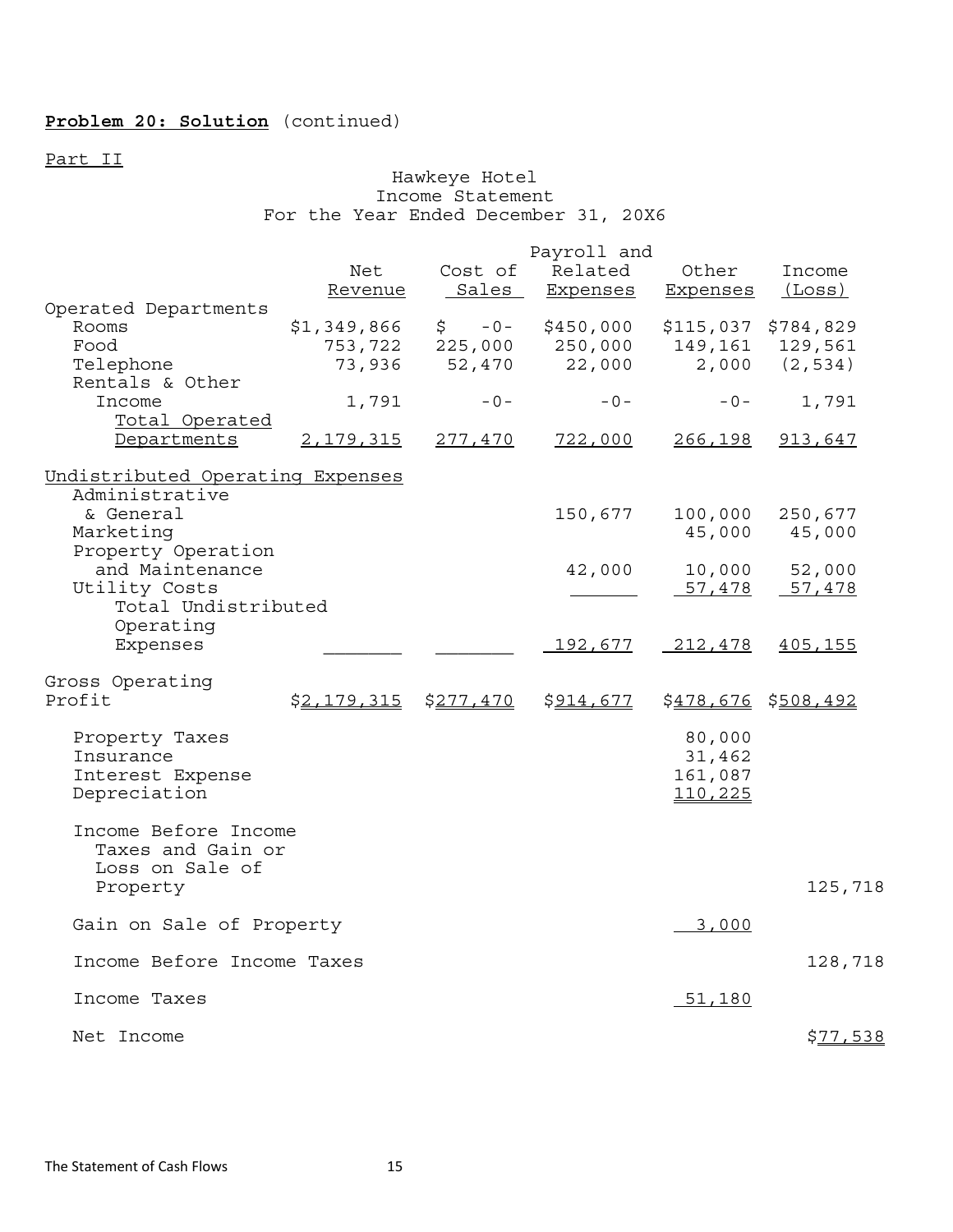# **Problem 20: Solution** (continued)

Part II

#### Hawkeye Hotel Income Statement For the Year Ended December 31, 20X6

|                                      | Payroll and |                              |                 |                     |           |  |
|--------------------------------------|-------------|------------------------------|-----------------|---------------------|-----------|--|
|                                      | Net         | Cost of                      | Related         | Other               | Income    |  |
|                                      | Revenue     | Sales                        | Expenses        | <b>Expenses</b>     | (Loss)    |  |
| Operated Departments                 |             |                              |                 |                     |           |  |
| Rooms                                | \$1,349,866 | $\ddot{\mathsf{S}}$<br>$-0-$ | \$450,000       | \$115,037 \$784,829 |           |  |
| Food                                 | 753,722     | 225,000                      | 250,000         | 149,161             | 129,561   |  |
| Telephone                            | 73,936      | 52,470                       | 22,000          | 2,000               | (2, 534)  |  |
| Rentals & Other                      |             |                              |                 |                     |           |  |
| Income                               | 1,791       | $-0-$                        | $-0-$           | $-0-$               | 1,791     |  |
| Total Operated                       |             |                              |                 |                     |           |  |
| Departments                          | 2, 179, 315 | 277,470                      | 722,000         | 266, 198            | 913,647   |  |
| Undistributed Operating Expenses     |             |                              |                 |                     |           |  |
| Administrative                       |             |                              |                 |                     |           |  |
| & General                            |             |                              | 150,677         | 100,000             | 250,677   |  |
| Marketing                            |             |                              |                 | 45,000              | 45,000    |  |
| Property Operation                   |             |                              |                 |                     |           |  |
| and Maintenance                      |             |                              | 42,000          | 10,000              | 52,000    |  |
| Utility Costs<br>Total Undistributed |             |                              |                 | 57,478              | 57,478    |  |
| Operating                            |             |                              |                 |                     |           |  |
| Expenses                             |             |                              | <u> 192,677</u> | 212,478             | 405,155   |  |
|                                      |             |                              |                 |                     |           |  |
| Gross Operating                      |             |                              |                 |                     |           |  |
| Profit                               | \$2,179,315 | \$277,470                    | \$914,677       | <u>\$478,676</u>    | \$508,492 |  |
| Property Taxes                       |             |                              |                 | 80,000              |           |  |
| Insurance                            |             |                              |                 | 31,462              |           |  |
| Interest Expense                     |             |                              |                 | 161,087             |           |  |
| Depreciation                         |             |                              |                 | 110,225             |           |  |
|                                      |             |                              |                 |                     |           |  |
| Income Before Income                 |             |                              |                 |                     |           |  |
| Taxes and Gain or                    |             |                              |                 |                     |           |  |
| Loss on Sale of                      |             |                              |                 |                     |           |  |
| Property                             |             |                              |                 |                     | 125,718   |  |
| Gain on Sale of Property             |             |                              |                 | 3,000               |           |  |
| Income Before Income Taxes           |             |                              |                 |                     | 128,718   |  |
|                                      |             |                              |                 |                     |           |  |
| Income Taxes                         |             |                              |                 | 51,180              |           |  |
| Net Income                           |             |                              |                 |                     | \$77,538  |  |